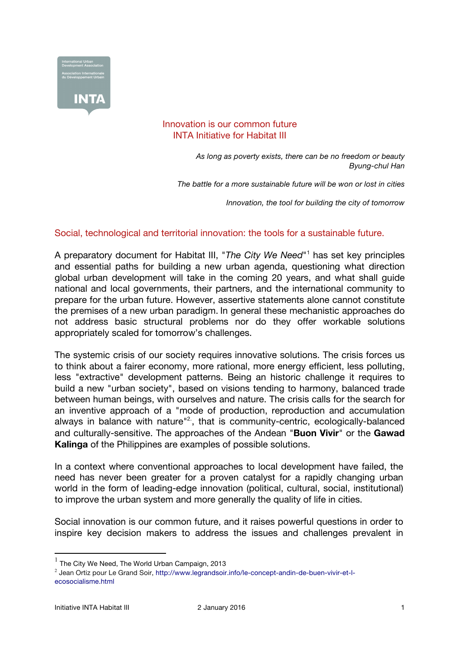

## Innovation is our common future INTA Initiative for Habitat III

*As long as poverty exists, there can be no freedom or beauty Byung-chul Han*

*The battle for a more sustainable future will be won or lost in cities*

*Innovation, the tool for building the city of tomorrow*

## Social, technological and territorial innovation: the tools for a sustainable future.

A preparatory document for Habitat III, "*The City We Need*"1 has set key principles and essential paths for building a new urban agenda, questioning what direction global urban development will take in the coming 20 years, and what shall guide national and local governments, their partners, and the international community to prepare for the urban future. However, assertive statements alone cannot constitute the premises of a new urban paradigm. In general these mechanistic approaches do not address basic structural problems nor do they offer workable solutions appropriately scaled for tomorrow's challenges.

The systemic crisis of our society requires innovative solutions. The crisis forces us to think about a fairer economy, more rational, more energy efficient, less polluting, less "extractive" development patterns. Being an historic challenge it requires to build a new "urban society", based on visions tending to harmony, balanced trade between human beings, with ourselves and nature. The crisis calls for the search for an inventive approach of a "mode of production, reproduction and accumulation always in balance with nature"<sup>2</sup>, that is community-centric, ecologically-balanced and culturally-sensitive. The approaches of the Andean "**Buon Vivir**" or the **Gawad Kalinga** of the Philippines are examples of possible solutions.

In a context where conventional approaches to local development have failed, the need has never been greater for a proven catalyst for a rapidly changing urban world in the form of leading-edge innovation (political, cultural, social, institutional) to improve the urban system and more generally the quality of life in cities.

Social innovation is our common future, and it raises powerful questions in order to inspire key decision makers to address the issues and challenges prevalent in

1 The City We Need, The World Urban Campaign, 2013

<sup>&</sup>lt;sup>2</sup> Jean Ortiz pour Le Grand Soir, http://www.legrandsoir.info/le-concept-andin-de-buen-vivir-et-lecosocialisme.html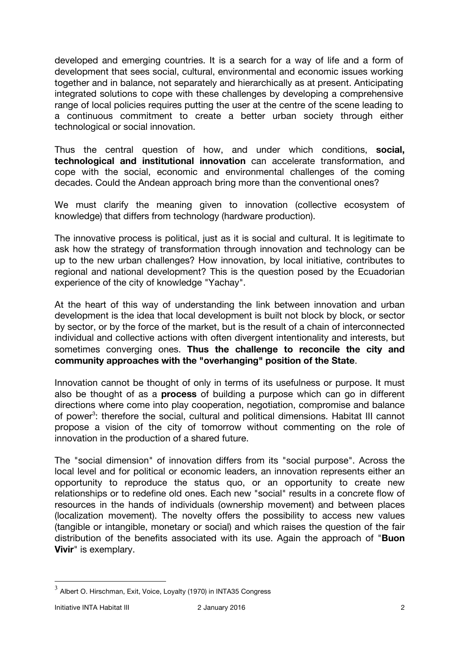developed and emerging countries. It is a search for a way of life and a form of development that sees social, cultural, environmental and economic issues working together and in balance, not separately and hierarchically as at present. Anticipating integrated solutions to cope with these challenges by developing a comprehensive range of local policies requires putting the user at the centre of the scene leading to a continuous commitment to create a better urban society through either technological or social innovation.

Thus the central question of how, and under which conditions, **social, technological and institutional innovation** can accelerate transformation, and cope with the social, economic and environmental challenges of the coming decades. Could the Andean approach bring more than the conventional ones?

We must clarify the meaning given to innovation (collective ecosystem of knowledge) that differs from technology (hardware production).

The innovative process is political, just as it is social and cultural. It is legitimate to ask how the strategy of transformation through innovation and technology can be up to the new urban challenges? How innovation, by local initiative, contributes to regional and national development? This is the question posed by the Ecuadorian experience of the city of knowledge "Yachay".

At the heart of this way of understanding the link between innovation and urban development is the idea that local development is built not block by block, or sector by sector, or by the force of the market, but is the result of a chain of interconnected individual and collective actions with often divergent intentionality and interests, but sometimes converging ones. **Thus the challenge to reconcile the city and community approaches with the "overhanging" position of the State**.

Innovation cannot be thought of only in terms of its usefulness or purpose. It must also be thought of as a **process** of building a purpose which can go in different directions where come into play cooperation, negotiation, compromise and balance of power<sup>3</sup>: therefore the social, cultural and political dimensions. Habitat III cannot propose a vision of the city of tomorrow without commenting on the role of innovation in the production of a shared future.

The "social dimension" of innovation differs from its "social purpose". Across the local level and for political or economic leaders, an innovation represents either an opportunity to reproduce the status quo, or an opportunity to create new relationships or to redefine old ones. Each new "social" results in a concrete flow of resources in the hands of individuals (ownership movement) and between places (localization movement). The novelty offers the possibility to access new values (tangible or intangible, monetary or social) and which raises the question of the fair distribution of the benefits associated with its use. Again the approach of "**Buon Vivir**" is exemplary.

 $3$  Albert O. Hirschman, Exit, Voice, Loyalty (1970) in INTA35 Congress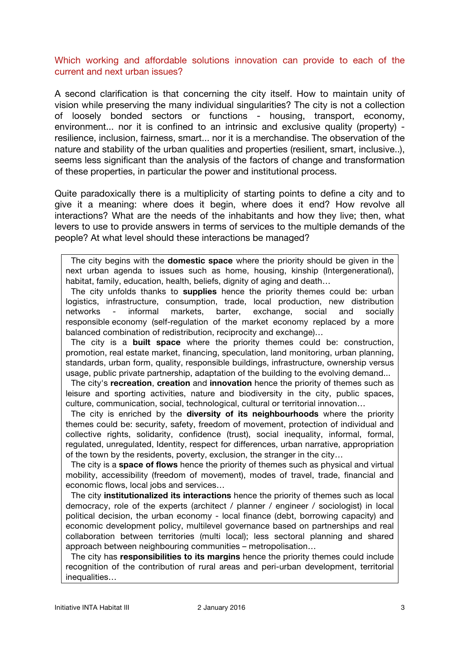## Which working and affordable solutions innovation can provide to each of the current and next urban issues?

A second clarification is that concerning the city itself. How to maintain unity of vision while preserving the many individual singularities? The city is not a collection of loosely bonded sectors or functions - housing, transport, economy, environment... nor it is confined to an intrinsic and exclusive quality (property) resilience, inclusion, fairness, smart... nor it is a merchandise. The observation of the nature and stability of the urban qualities and properties (resilient, smart, inclusive..), seems less significant than the analysis of the factors of change and transformation of these properties, in particular the power and institutional process.

Quite paradoxically there is a multiplicity of starting points to define a city and to give it a meaning: where does it begin, where does it end? How revolve all interactions? What are the needs of the inhabitants and how they live; then, what levers to use to provide answers in terms of services to the multiple demands of the people? At what level should these interactions be managed?

The city begins with the **domestic space** where the priority should be given in the next urban agenda to issues such as home, housing, kinship (Intergenerational), habitat, family, education, health, beliefs, dignity of aging and death…

The city unfolds thanks to **supplies** hence the priority themes could be: urban logistics, infrastructure, consumption, trade, local production, new distribution networks - informal markets, barter, exchange, social and socially responsible economy (self-regulation of the market economy replaced by a more balanced combination of redistribution, reciprocity and exchange)…

The city is a **built space** where the priority themes could be: construction, promotion, real estate market, financing, speculation, land monitoring, urban planning, standards, urban form, quality, responsible buildings, infrastructure, ownership versus usage, public private partnership, adaptation of the building to the evolving demand...

The city's **recreation**, **creation** and **innovation** hence the priority of themes such as leisure and sporting activities, nature and biodiversity in the city, public spaces, culture, communication, social, technological, cultural or territorial innovation…

The city is enriched by the **diversity of its neighbourhoods** where the priority themes could be: security, safety, freedom of movement, protection of individual and collective rights, solidarity, confidence (trust), social inequality, informal, formal, regulated, unregulated, Identity, respect for differences, urban narrative, appropriation of the town by the residents, poverty, exclusion, the stranger in the city…

The city is a **space of flows** hence the priority of themes such as physical and virtual mobility, accessibility (freedom of movement), modes of travel, trade, financial and economic flows, local jobs and services…

The city **institutionalized its interactions** hence the priority of themes such as local democracy, role of the experts (architect / planner / engineer / sociologist) in local political decision, the urban economy - local finance (debt, borrowing capacity) and economic development policy, multilevel governance based on partnerships and real collaboration between territories (multi local); less sectoral planning and shared approach between neighbouring communities – metropolisation…

The city has **responsibilities to its margins** hence the priority themes could include recognition of the contribution of rural areas and peri-urban development, territorial inequalities…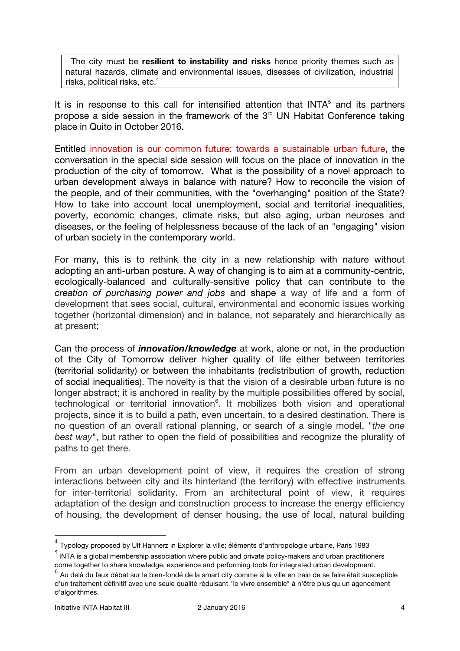The city must be **resilient to instability and risks** hence priority themes such as natural hazards, climate and environmental issues, diseases of civilization, industrial risks, political risks, etc.<sup>4</sup>

It is in response to this call for intensified attention that INTA $<sup>5</sup>$  and its partners</sup> propose a side session in the framework of the  $3<sup>rd</sup>$  UN Habitat Conference taking place in Quito in October 2016.

Entitled innovation is our common future: towards a sustainable urban future, the conversation in the special side session will focus on the place of innovation in the production of the city of tomorrow. What is the possibility of a novel approach to urban development always in balance with nature? How to reconcile the vision of the people, and of their communities, with the "overhanging" position of the State? How to take into account local unemployment, social and territorial inequalities, poverty, economic changes, climate risks, but also aging, urban neuroses and diseases, or the feeling of helplessness because of the lack of an "engaging" vision of urban society in the contemporary world.

For many, this is to rethink the city in a new relationship with nature without adopting an anti-urban posture. A way of changing is to aim at a community-centric, ecologically-balanced and culturally-sensitive policy that can contribute to the *creation of purchasing power and jobs* and shape a way of life and a form of development that sees social, cultural, environmental and economic issues working together (horizontal dimension) and in balance, not separately and hierarchically as at present;

Can the process of *innovation/knowledge* at work, alone or not, in the production of the City of Tomorrow deliver higher quality of life either between territories (territorial solidarity) or between the inhabitants (redistribution of growth, reduction of social inequalities). The novelty is that the vision of a desirable urban future is no longer abstract; it is anchored in reality by the multiple possibilities offered by social, technological or territorial innovation<sup>6</sup>. It mobilizes both vision and operational projects, since it is to build a path, even uncertain, to a desired destination. There is no question of an overall rational planning, or search of a single model, "*the one best way*", but rather to open the field of possibilities and recognize the plurality of paths to get there.

From an urban development point of view, it requires the creation of strong interactions between city and its hinterland (the territory) with effective instruments for inter-territorial solidarity. From an architectural point of view, it requires adaptation of the design and construction process to increase the energy efficiency of housing, the development of denser housing, the use of local, natural building

 $4$  Typology proposed by Ulf Hannerz in Explorer la ville; éléments d'anthropologie urbaine, Paris 1983

 $<sup>5</sup>$  INTA is a global membership association where public and private policy-makers and urban practitioners</sup> come together to share knowledge, experience and performing tools for integrated urban development.

 $^6$  Au delà du faux débat sur le bien-fondé de la smart city comme si la ville en train de se faire était susceptible d'un traitement définitif avec une seule qualité réduisant "le vivre ensemble" à n'être plus qu'un agencement d'algorithmes.